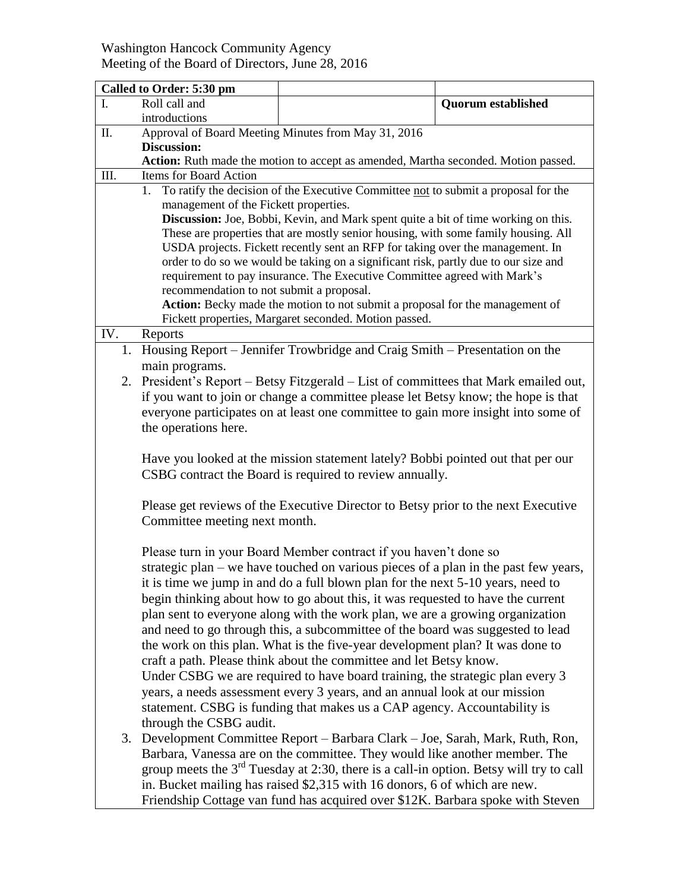## Washington Hancock Community Agency Meeting of the Board of Directors, June 28, 2016

|                                                                                | Called to Order: 5:30 pm                                                                                                                                                                                                                                                                                                                                                                                                                                                                                      |                                                                                          |                           |  |
|--------------------------------------------------------------------------------|---------------------------------------------------------------------------------------------------------------------------------------------------------------------------------------------------------------------------------------------------------------------------------------------------------------------------------------------------------------------------------------------------------------------------------------------------------------------------------------------------------------|------------------------------------------------------------------------------------------|---------------------------|--|
| $\mathbf{I}$ .                                                                 | Roll call and                                                                                                                                                                                                                                                                                                                                                                                                                                                                                                 |                                                                                          | <b>Quorum established</b> |  |
|                                                                                | introductions                                                                                                                                                                                                                                                                                                                                                                                                                                                                                                 |                                                                                          |                           |  |
| II.                                                                            | Approval of Board Meeting Minutes from May 31, 2016                                                                                                                                                                                                                                                                                                                                                                                                                                                           |                                                                                          |                           |  |
|                                                                                | <b>Discussion:</b>                                                                                                                                                                                                                                                                                                                                                                                                                                                                                            |                                                                                          |                           |  |
|                                                                                |                                                                                                                                                                                                                                                                                                                                                                                                                                                                                                               | Action: Ruth made the motion to accept as amended, Martha seconded. Motion passed.       |                           |  |
| Ш.                                                                             | Items for Board Action<br>1. To ratify the decision of the Executive Committee not to submit a proposal for the<br>management of the Fickett properties.<br>Discussion: Joe, Bobbi, Kevin, and Mark spent quite a bit of time working on this.<br>These are properties that are mostly senior housing, with some family housing. All<br>USDA projects. Fickett recently sent an RFP for taking over the management. In<br>order to do so we would be taking on a significant risk, partly due to our size and |                                                                                          |                           |  |
|                                                                                |                                                                                                                                                                                                                                                                                                                                                                                                                                                                                                               |                                                                                          |                           |  |
|                                                                                |                                                                                                                                                                                                                                                                                                                                                                                                                                                                                                               |                                                                                          |                           |  |
|                                                                                |                                                                                                                                                                                                                                                                                                                                                                                                                                                                                                               |                                                                                          |                           |  |
|                                                                                |                                                                                                                                                                                                                                                                                                                                                                                                                                                                                                               |                                                                                          |                           |  |
|                                                                                |                                                                                                                                                                                                                                                                                                                                                                                                                                                                                                               |                                                                                          |                           |  |
|                                                                                |                                                                                                                                                                                                                                                                                                                                                                                                                                                                                                               |                                                                                          |                           |  |
|                                                                                | requirement to pay insurance. The Executive Committee agreed with Mark's                                                                                                                                                                                                                                                                                                                                                                                                                                      |                                                                                          |                           |  |
|                                                                                | recommendation to not submit a proposal.                                                                                                                                                                                                                                                                                                                                                                                                                                                                      |                                                                                          |                           |  |
|                                                                                | Action: Becky made the motion to not submit a proposal for the management of<br>Fickett properties, Margaret seconded. Motion passed.                                                                                                                                                                                                                                                                                                                                                                         |                                                                                          |                           |  |
|                                                                                |                                                                                                                                                                                                                                                                                                                                                                                                                                                                                                               |                                                                                          |                           |  |
| IV.                                                                            | Reports                                                                                                                                                                                                                                                                                                                                                                                                                                                                                                       |                                                                                          |                           |  |
|                                                                                | 1. Housing Report – Jennifer Trowbridge and Craig Smith – Presentation on the                                                                                                                                                                                                                                                                                                                                                                                                                                 |                                                                                          |                           |  |
|                                                                                | main programs.                                                                                                                                                                                                                                                                                                                                                                                                                                                                                                |                                                                                          |                           |  |
|                                                                                | 2. President's Report – Betsy Fitzgerald – List of committees that Mark emailed out,                                                                                                                                                                                                                                                                                                                                                                                                                          |                                                                                          |                           |  |
|                                                                                | if you want to join or change a committee please let Betsy know; the hope is that                                                                                                                                                                                                                                                                                                                                                                                                                             |                                                                                          |                           |  |
|                                                                                | everyone participates on at least one committee to gain more insight into some of                                                                                                                                                                                                                                                                                                                                                                                                                             |                                                                                          |                           |  |
|                                                                                | the operations here.                                                                                                                                                                                                                                                                                                                                                                                                                                                                                          |                                                                                          |                           |  |
|                                                                                | Have you looked at the mission statement lately? Bobbi pointed out that per our                                                                                                                                                                                                                                                                                                                                                                                                                               |                                                                                          |                           |  |
|                                                                                | CSBG contract the Board is required to review annually.                                                                                                                                                                                                                                                                                                                                                                                                                                                       |                                                                                          |                           |  |
|                                                                                |                                                                                                                                                                                                                                                                                                                                                                                                                                                                                                               |                                                                                          |                           |  |
|                                                                                | Please get reviews of the Executive Director to Betsy prior to the next Executive                                                                                                                                                                                                                                                                                                                                                                                                                             |                                                                                          |                           |  |
|                                                                                | Committee meeting next month.                                                                                                                                                                                                                                                                                                                                                                                                                                                                                 |                                                                                          |                           |  |
|                                                                                | Please turn in your Board Member contract if you haven't done so                                                                                                                                                                                                                                                                                                                                                                                                                                              |                                                                                          |                           |  |
|                                                                                |                                                                                                                                                                                                                                                                                                                                                                                                                                                                                                               |                                                                                          |                           |  |
|                                                                                | strategic plan – we have touched on various pieces of a plan in the past few years,                                                                                                                                                                                                                                                                                                                                                                                                                           |                                                                                          |                           |  |
|                                                                                | it is time we jump in and do a full blown plan for the next 5-10 years, need to                                                                                                                                                                                                                                                                                                                                                                                                                               |                                                                                          |                           |  |
|                                                                                |                                                                                                                                                                                                                                                                                                                                                                                                                                                                                                               | begin thinking about how to go about this, it was requested to have the current          |                           |  |
|                                                                                |                                                                                                                                                                                                                                                                                                                                                                                                                                                                                                               | plan sent to everyone along with the work plan, we are a growing organization            |                           |  |
|                                                                                |                                                                                                                                                                                                                                                                                                                                                                                                                                                                                                               | and need to go through this, a subcommittee of the board was suggested to lead           |                           |  |
|                                                                                |                                                                                                                                                                                                                                                                                                                                                                                                                                                                                                               | the work on this plan. What is the five-year development plan? It was done to            |                           |  |
|                                                                                |                                                                                                                                                                                                                                                                                                                                                                                                                                                                                                               | craft a path. Please think about the committee and let Betsy know.                       |                           |  |
|                                                                                |                                                                                                                                                                                                                                                                                                                                                                                                                                                                                                               | Under CSBG we are required to have board training, the strategic plan every 3            |                           |  |
|                                                                                |                                                                                                                                                                                                                                                                                                                                                                                                                                                                                                               | years, a needs assessment every 3 years, and an annual look at our mission               |                           |  |
|                                                                                |                                                                                                                                                                                                                                                                                                                                                                                                                                                                                                               | statement. CSBG is funding that makes us a CAP agency. Accountability is                 |                           |  |
|                                                                                |                                                                                                                                                                                                                                                                                                                                                                                                                                                                                                               |                                                                                          |                           |  |
|                                                                                | through the CSBG audit.                                                                                                                                                                                                                                                                                                                                                                                                                                                                                       |                                                                                          |                           |  |
|                                                                                |                                                                                                                                                                                                                                                                                                                                                                                                                                                                                                               | 3. Development Committee Report - Barbara Clark - Joe, Sarah, Mark, Ruth, Ron,           |                           |  |
|                                                                                |                                                                                                                                                                                                                                                                                                                                                                                                                                                                                                               | Barbara, Vanessa are on the committee. They would like another member. The               |                           |  |
|                                                                                |                                                                                                                                                                                                                                                                                                                                                                                                                                                                                                               | group meets the $3rd$ Tuesday at 2:30, there is a call-in option. Betsy will try to call |                           |  |
|                                                                                | in. Bucket mailing has raised \$2,315 with 16 donors, 6 of which are new.                                                                                                                                                                                                                                                                                                                                                                                                                                     |                                                                                          |                           |  |
| Friendship Cottage van fund has acquired over \$12K. Barbara spoke with Steven |                                                                                                                                                                                                                                                                                                                                                                                                                                                                                                               |                                                                                          |                           |  |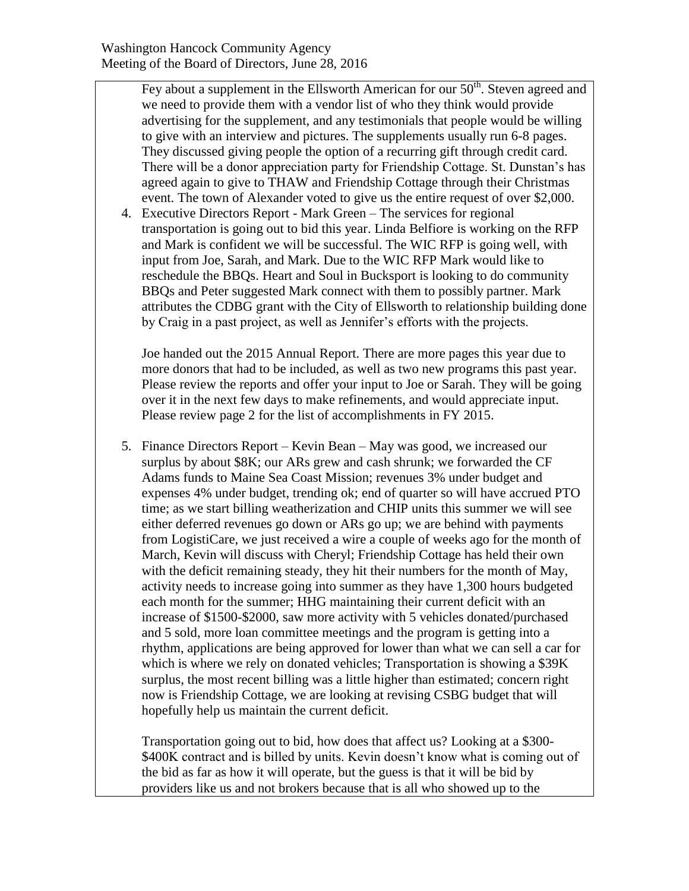Fey about a supplement in the Ellsworth American for our  $50<sup>th</sup>$ . Steven agreed and we need to provide them with a vendor list of who they think would provide advertising for the supplement, and any testimonials that people would be willing to give with an interview and pictures. The supplements usually run 6-8 pages. They discussed giving people the option of a recurring gift through credit card. There will be a donor appreciation party for Friendship Cottage. St. Dunstan's has agreed again to give to THAW and Friendship Cottage through their Christmas event. The town of Alexander voted to give us the entire request of over \$2,000.

4. Executive Directors Report - Mark Green – The services for regional transportation is going out to bid this year. Linda Belfiore is working on the RFP and Mark is confident we will be successful. The WIC RFP is going well, with input from Joe, Sarah, and Mark. Due to the WIC RFP Mark would like to reschedule the BBQs. Heart and Soul in Bucksport is looking to do community BBQs and Peter suggested Mark connect with them to possibly partner. Mark attributes the CDBG grant with the City of Ellsworth to relationship building done by Craig in a past project, as well as Jennifer's efforts with the projects.

Joe handed out the 2015 Annual Report. There are more pages this year due to more donors that had to be included, as well as two new programs this past year. Please review the reports and offer your input to Joe or Sarah. They will be going over it in the next few days to make refinements, and would appreciate input. Please review page 2 for the list of accomplishments in FY 2015.

5. Finance Directors Report – Kevin Bean – May was good, we increased our surplus by about \$8K; our ARs grew and cash shrunk; we forwarded the CF Adams funds to Maine Sea Coast Mission; revenues 3% under budget and expenses 4% under budget, trending ok; end of quarter so will have accrued PTO time; as we start billing weatherization and CHIP units this summer we will see either deferred revenues go down or ARs go up; we are behind with payments from LogistiCare, we just received a wire a couple of weeks ago for the month of March, Kevin will discuss with Cheryl; Friendship Cottage has held their own with the deficit remaining steady, they hit their numbers for the month of May, activity needs to increase going into summer as they have 1,300 hours budgeted each month for the summer; HHG maintaining their current deficit with an increase of \$1500-\$2000, saw more activity with 5 vehicles donated/purchased and 5 sold, more loan committee meetings and the program is getting into a rhythm, applications are being approved for lower than what we can sell a car for which is where we rely on donated vehicles; Transportation is showing a \$39K surplus, the most recent billing was a little higher than estimated; concern right now is Friendship Cottage, we are looking at revising CSBG budget that will hopefully help us maintain the current deficit.

Transportation going out to bid, how does that affect us? Looking at a \$300- \$400K contract and is billed by units. Kevin doesn't know what is coming out of the bid as far as how it will operate, but the guess is that it will be bid by providers like us and not brokers because that is all who showed up to the